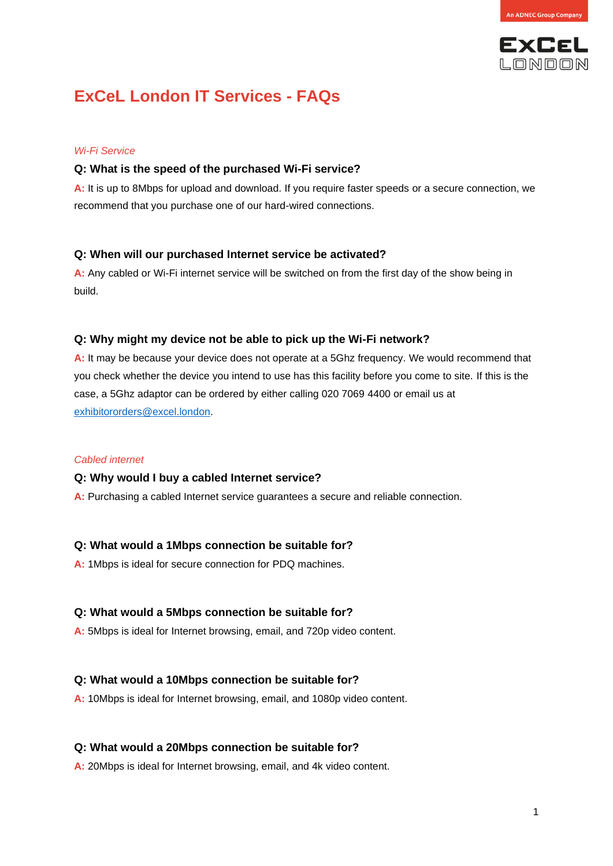

# **ExCeL London IT Services - FAQs**

#### *Wi-Fi Service*

#### **Q: What is the speed of the purchased Wi-Fi service?**

**A:** It is up to 8Mbps for upload and download. If you require faster speeds or a secure connection, we recommend that you purchase one of our hard-wired connections.

#### **Q: When will our purchased Internet service be activated?**

**A:** Any cabled or Wi-Fi internet service will be switched on from the first day of the show being in build.

#### **Q: Why might my device not be able to pick up the Wi-Fi network?**

**A:** It may be because your device does not operate at a 5Ghz frequency. We would recommend that you check whether the device you intend to use has this facility before you come to site. If this is the case, a 5Ghz adaptor can be ordered by either calling 020 7069 4400 or email us at [exhibitororders@excel.london.](mailto:exhibitororders@excel.london)

#### *Cabled internet*

#### **Q: Why would I buy a cabled Internet service?**

**A:** Purchasing a cabled Internet service guarantees a secure and reliable connection.

#### **Q: What would a 1Mbps connection be suitable for?**

**A:** 1Mbps is ideal for secure connection for PDQ machines.

#### **Q: What would a 5Mbps connection be suitable for?**

**A:** 5Mbps is ideal for Internet browsing, email, and 720p video content.

#### **Q: What would a 10Mbps connection be suitable for?**

**A:** 10Mbps is ideal for Internet browsing, email, and 1080p video content.

#### **Q: What would a 20Mbps connection be suitable for?**

**A:** 20Mbps is ideal for Internet browsing, email, and 4k video content.